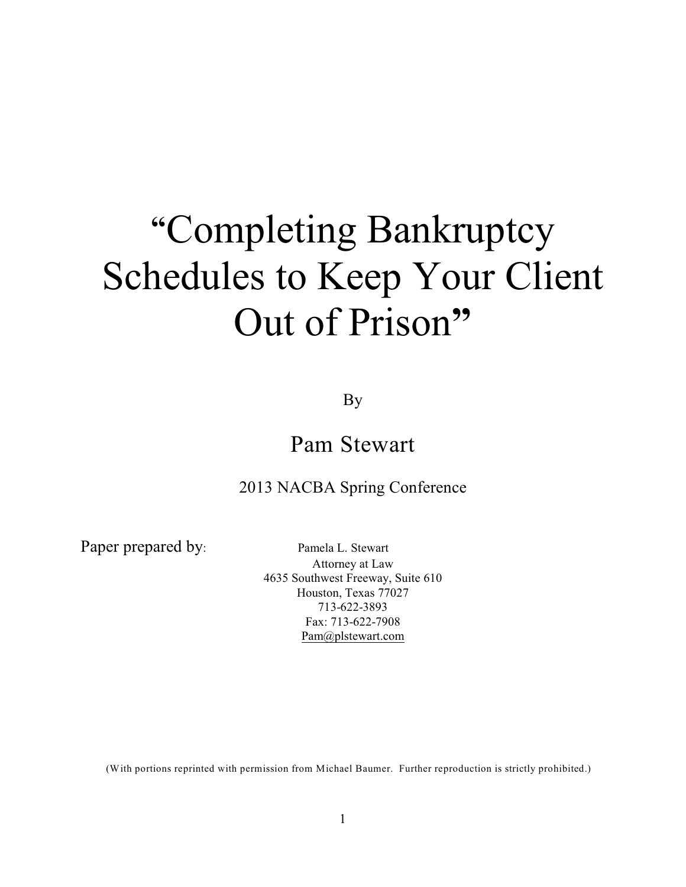# **"**Completing Bankruptcy Schedules to Keep Your Client Out of Prison**"**

By

# Pam Stewart

# 2013 NACBA Spring Conference

Paper prepared by: Pamela L. Stewart

Attorney at Law 4635 Southwest Freeway, Suite 610 Houston, Texas 77027 713-622-3893 Fax: 713-622-7908 [Pam@plstewart.com](mailto:PLSatty@swbell.net)

(With portions reprinted with permission from Michael Baumer. Further reproduction is strictly prohibited.)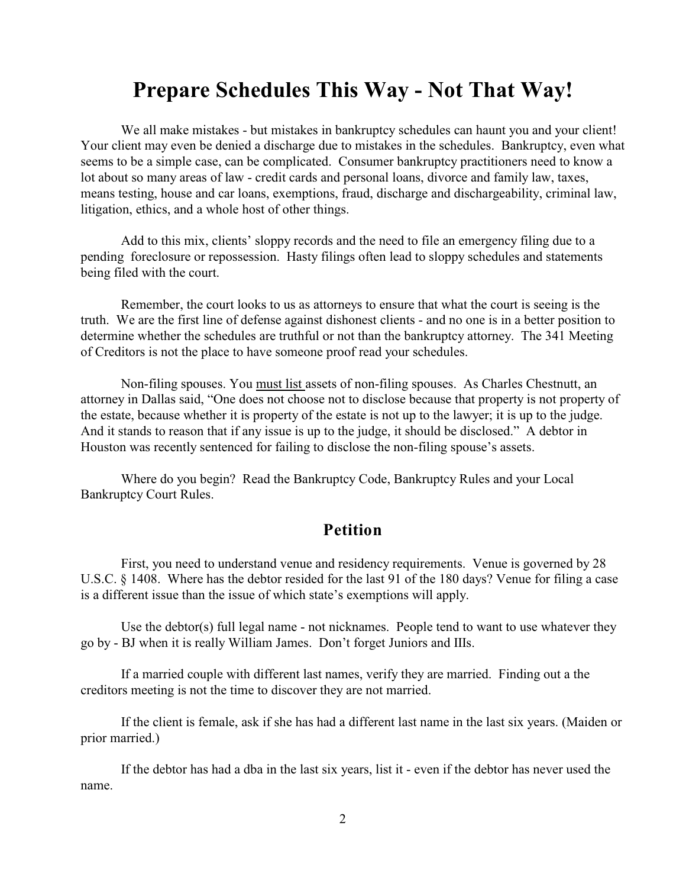# **Prepare Schedules This Way - Not That Way!**

We all make mistakes - but mistakes in bankruptcy schedules can haunt you and your client! Your client may even be denied a discharge due to mistakes in the schedules. Bankruptcy, even what seems to be a simple case, can be complicated. Consumer bankruptcy practitioners need to know a lot about so many areas of law - credit cards and personal loans, divorce and family law, taxes, means testing, house and car loans, exemptions, fraud, discharge and dischargeability, criminal law, litigation, ethics, and a whole host of other things.

Add to this mix, clients' sloppy records and the need to file an emergency filing due to a pending foreclosure or repossession. Hasty filings often lead to sloppy schedules and statements being filed with the court.

Remember, the court looks to us as attorneys to ensure that what the court is seeing is the truth. We are the first line of defense against dishonest clients - and no one is in a better position to determine whether the schedules are truthful or not than the bankruptcy attorney. The 341 Meeting of Creditors is not the place to have someone proof read your schedules.

Non-filing spouses. You must list assets of non-filing spouses. As Charles Chestnutt, an attorney in Dallas said, "One does not choose not to disclose because that property is not property of the estate, because whether it is property of the estate is not up to the lawyer; it is up to the judge. And it stands to reason that if any issue is up to the judge, it should be disclosed." A debtor in Houston was recently sentenced for failing to disclose the non-filing spouse's assets.

Where do you begin? Read the Bankruptcy Code, Bankruptcy Rules and your Local Bankruptcy Court Rules.

# **Petition**

First, you need to understand venue and residency requirements. Venue is governed by 28 U.S.C. § 1408. Where has the debtor resided for the last 91 of the 180 days? Venue for filing a case is a different issue than the issue of which state's exemptions will apply.

Use the debtor(s) full legal name - not nicknames. People tend to want to use whatever they go by - BJ when it is really William James. Don't forget Juniors and IIIs.

If a married couple with different last names, verify they are married. Finding out a the creditors meeting is not the time to discover they are not married.

If the client is female, ask if she has had a different last name in the last six years. (Maiden or prior married.)

If the debtor has had a dba in the last six years, list it - even if the debtor has never used the name.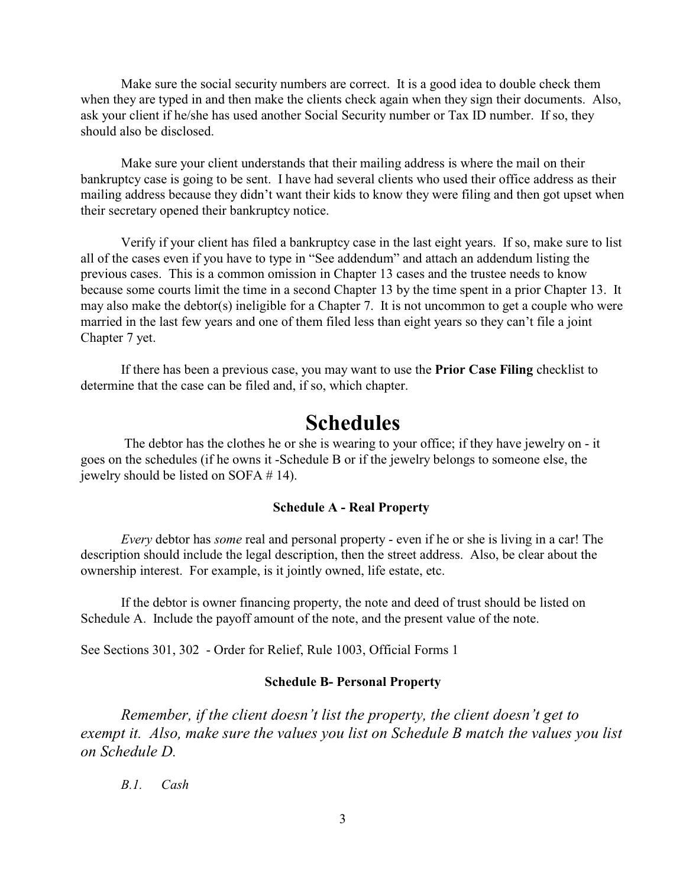Make sure the social security numbers are correct. It is a good idea to double check them when they are typed in and then make the clients check again when they sign their documents. Also, ask your client if he/she has used another Social Security number or Tax ID number. If so, they should also be disclosed.

Make sure your client understands that their mailing address is where the mail on their bankruptcy case is going to be sent. I have had several clients who used their office address as their mailing address because they didn't want their kids to know they were filing and then got upset when their secretary opened their bankruptcy notice.

Verify if your client has filed a bankruptcy case in the last eight years. If so, make sure to list all of the cases even if you have to type in "See addendum" and attach an addendum listing the previous cases. This is a common omission in Chapter 13 cases and the trustee needs to know because some courts limit the time in a second Chapter 13 by the time spent in a prior Chapter 13. It may also make the debtor(s) ineligible for a Chapter 7. It is not uncommon to get a couple who were married in the last few years and one of them filed less than eight years so they can't file a joint Chapter 7 yet.

If there has been a previous case, you may want to use the **Prior Case Filing** checklist to determine that the case can be filed and, if so, which chapter.

# **Schedules**

The debtor has the clothes he or she is wearing to your office; if they have jewelry on - it goes on the schedules (if he owns it -Schedule B or if the jewelry belongs to someone else, the jewelry should be listed on SOFA # 14).

#### **Schedule A - Real Property**

*Every* debtor has *some* real and personal property - even if he or she is living in a car! The description should include the legal description, then the street address. Also, be clear about the ownership interest. For example, is it jointly owned, life estate, etc.

If the debtor is owner financing property, the note and deed of trust should be listed on Schedule A. Include the payoff amount of the note, and the present value of the note.

See Sections 301, 302 - Order for Relief, Rule 1003, Official Forms 1

### **Schedule B- Personal Property**

*Remember, if the client doesn't list the property, the client doesn't get to exempt it. Also, make sure the values you list on Schedule B match the values you list on Schedule D.*

*B.1. Cash*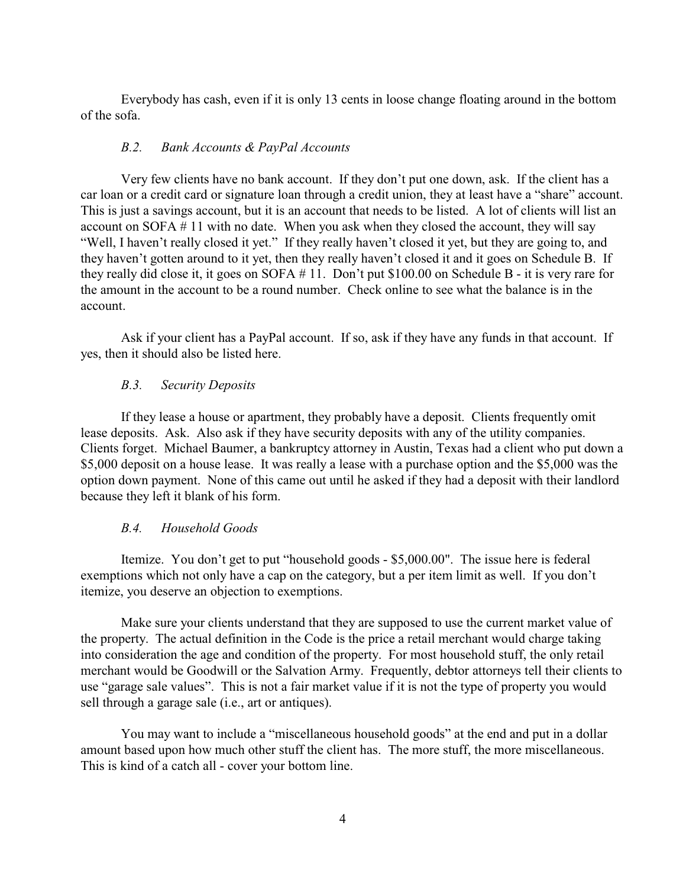Everybody has cash, even if it is only 13 cents in loose change floating around in the bottom of the sofa.

#### *B.2. Bank Accounts & PayPal Accounts*

Very few clients have no bank account. If they don't put one down, ask. If the client has a car loan or a credit card or signature loan through a credit union, they at least have a "share" account. This is just a savings account, but it is an account that needs to be listed. A lot of clients will list an account on SOFA # 11 with no date. When you ask when they closed the account, they will say "Well, I haven't really closed it yet." If they really haven't closed it yet, but they are going to, and they haven't gotten around to it yet, then they really haven't closed it and it goes on Schedule B. If they really did close it, it goes on SOFA # 11. Don't put \$100.00 on Schedule B - it is very rare for the amount in the account to be a round number. Check online to see what the balance is in the account.

Ask if your client has a PayPal account. If so, ask if they have any funds in that account. If yes, then it should also be listed here.

# *B.3. Security Deposits*

If they lease a house or apartment, they probably have a deposit. Clients frequently omit lease deposits. Ask. Also ask if they have security deposits with any of the utility companies. Clients forget. Michael Baumer, a bankruptcy attorney in Austin, Texas had a client who put down a \$5,000 deposit on a house lease. It was really a lease with a purchase option and the \$5,000 was the option down payment. None of this came out until he asked if they had a deposit with their landlord because they left it blank of his form.

# *B.4. Household Goods*

Itemize. You don't get to put "household goods - \$5,000.00". The issue here is federal exemptions which not only have a cap on the category, but a per item limit as well. If you don't itemize, you deserve an objection to exemptions.

Make sure your clients understand that they are supposed to use the current market value of the property. The actual definition in the Code is the price a retail merchant would charge taking into consideration the age and condition of the property. For most household stuff, the only retail merchant would be Goodwill or the Salvation Army. Frequently, debtor attorneys tell their clients to use "garage sale values". This is not a fair market value if it is not the type of property you would sell through a garage sale (i.e., art or antiques).

You may want to include a "miscellaneous household goods" at the end and put in a dollar amount based upon how much other stuff the client has. The more stuff, the more miscellaneous. This is kind of a catch all - cover your bottom line.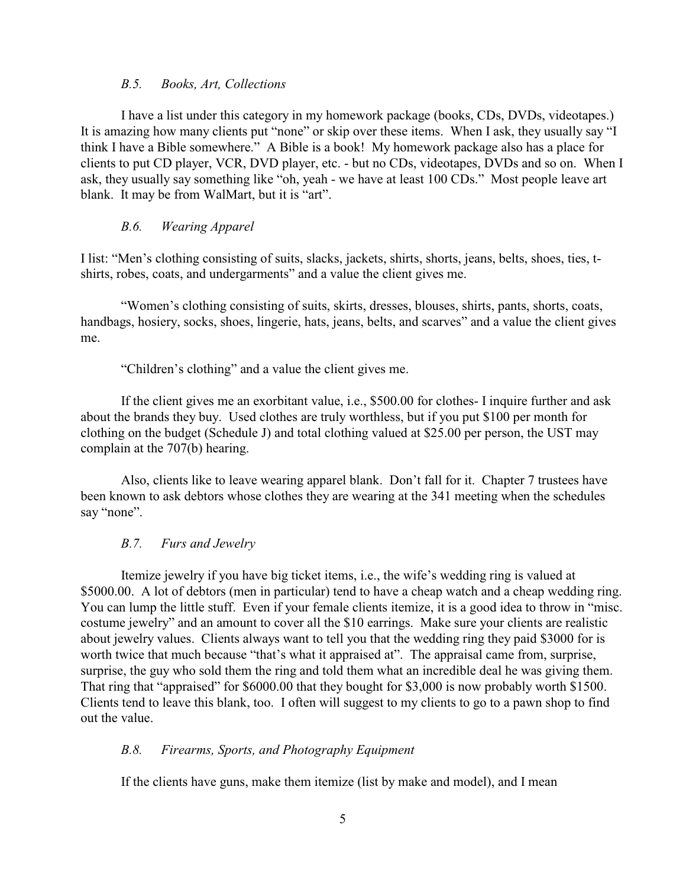#### *B.5. Books, Art, Collections*

I have a list under this category in my homework package (books, CDs, DVDs, videotapes.) It is amazing how many clients put "none" or skip over these items. When I ask, they usually say "I think I have a Bible somewhere." A Bible is a book! My homework package also has a place for clients to put CD player, VCR, DVD player, etc. - but no CDs, videotapes, DVDs and so on. When I ask, they usually say something like "oh, yeah - we have at least 100 CDs." Most people leave art blank. It may be from WalMart, but it is "art".

# *B.6. Wearing Apparel*

I list: "Men's clothing consisting of suits, slacks, jackets, shirts, shorts, jeans, belts, shoes, ties, tshirts, robes, coats, and undergarments" and a value the client gives me.

"Women's clothing consisting of suits, skirts, dresses, blouses, shirts, pants, shorts, coats, handbags, hosiery, socks, shoes, lingerie, hats, jeans, belts, and scarves" and a value the client gives me.

"Children's clothing" and a value the client gives me.

If the client gives me an exorbitant value, i.e., \$500.00 for clothes- I inquire further and ask about the brands they buy. Used clothes are truly worthless, but if you put \$100 per month for clothing on the budget (Schedule J) and total clothing valued at \$25.00 per person, the UST may complain at the 707(b) hearing.

Also, clients like to leave wearing apparel blank. Don't fall for it. Chapter 7 trustees have been known to ask debtors whose clothes they are wearing at the 341 meeting when the schedules say "none".

# *B.7. Furs and Jewelry*

Itemize jewelry if you have big ticket items, i.e., the wife's wedding ring is valued at \$5000.00. A lot of debtors (men in particular) tend to have a cheap watch and a cheap wedding ring. You can lump the little stuff. Even if your female clients itemize, it is a good idea to throw in "misc. costume jewelry" and an amount to cover all the \$10 earrings. Make sure your clients are realistic about jewelry values. Clients always want to tell you that the wedding ring they paid \$3000 for is worth twice that much because "that's what it appraised at". The appraisal came from, surprise, surprise, the guy who sold them the ring and told them what an incredible deal he was giving them. That ring that "appraised" for \$6000.00 that they bought for \$3,000 is now probably worth \$1500. Clients tend to leave this blank, too. I often will suggest to my clients to go to a pawn shop to find out the value.

# *B.8. Firearms, Sports, and Photography Equipment*

If the clients have guns, make them itemize (list by make and model), and I mean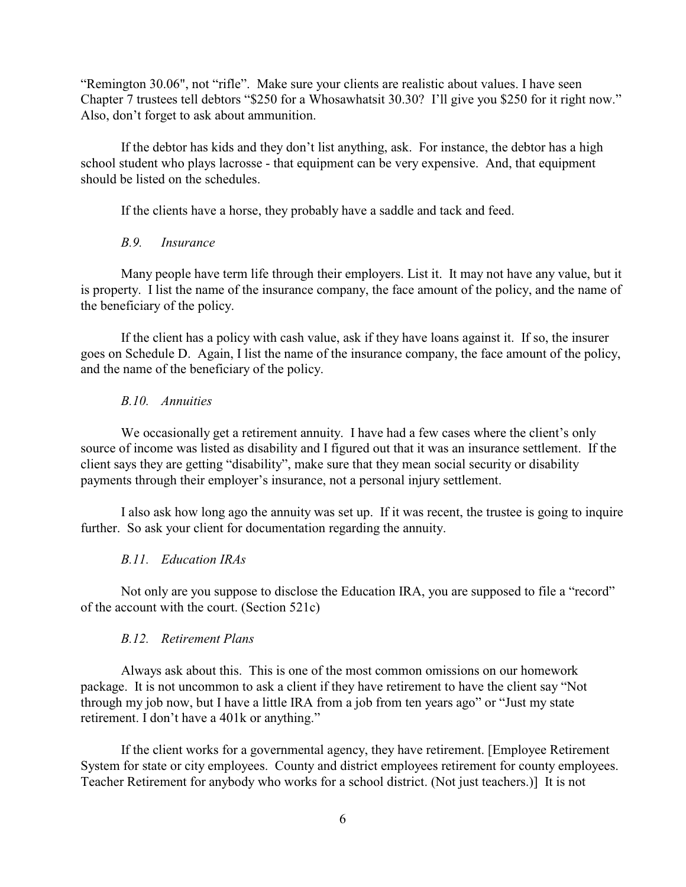"Remington 30.06", not "rifle". Make sure your clients are realistic about values. I have seen Chapter 7 trustees tell debtors "\$250 for a Whosawhatsit 30.30? I'll give you \$250 for it right now." Also, don't forget to ask about ammunition.

If the debtor has kids and they don't list anything, ask. For instance, the debtor has a high school student who plays lacrosse - that equipment can be very expensive. And, that equipment should be listed on the schedules.

If the clients have a horse, they probably have a saddle and tack and feed.

# *B.9. Insurance*

Many people have term life through their employers. List it. It may not have any value, but it is property. I list the name of the insurance company, the face amount of the policy, and the name of the beneficiary of the policy.

If the client has a policy with cash value, ask if they have loans against it. If so, the insurer goes on Schedule D. Again, I list the name of the insurance company, the face amount of the policy, and the name of the beneficiary of the policy.

#### *B.10. Annuities*

We occasionally get a retirement annuity. I have had a few cases where the client's only source of income was listed as disability and I figured out that it was an insurance settlement. If the client says they are getting "disability", make sure that they mean social security or disability payments through their employer's insurance, not a personal injury settlement.

I also ask how long ago the annuity was set up. If it was recent, the trustee is going to inquire further. So ask your client for documentation regarding the annuity.

### *B.11. Education IRAs*

Not only are you suppose to disclose the Education IRA, you are supposed to file a "record" of the account with the court. (Section 521c)

#### *B.12. Retirement Plans*

Always ask about this. This is one of the most common omissions on our homework package. It is not uncommon to ask a client if they have retirement to have the client say "Not through my job now, but I have a little IRA from a job from ten years ago" or "Just my state retirement. I don't have a 401k or anything."

If the client works for a governmental agency, they have retirement. [Employee Retirement System for state or city employees. County and district employees retirement for county employees. Teacher Retirement for anybody who works for a school district. (Not just teachers.)] It is not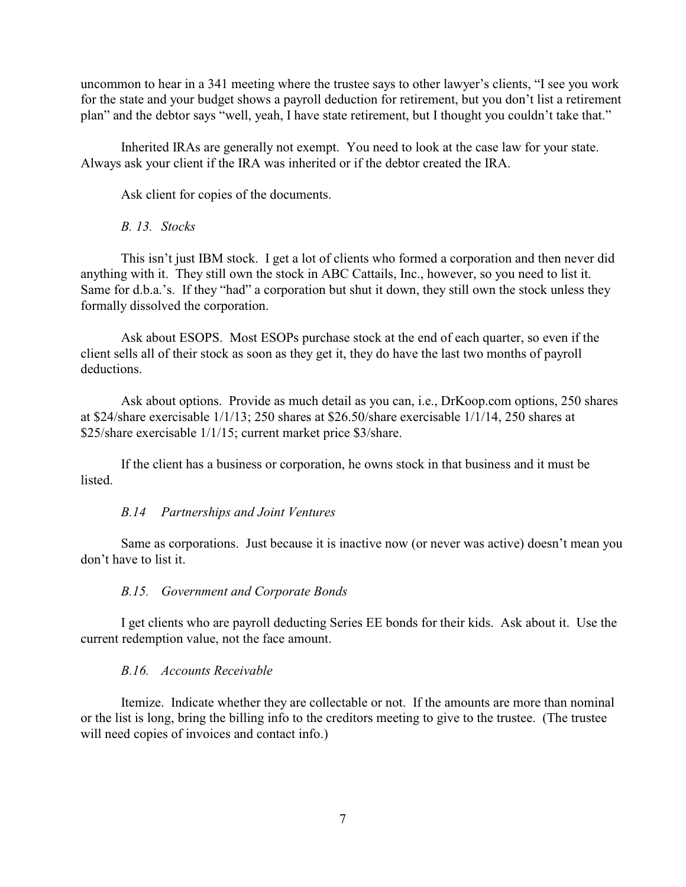uncommon to hear in a 341 meeting where the trustee says to other lawyer's clients, "I see you work for the state and your budget shows a payroll deduction for retirement, but you don't list a retirement plan" and the debtor says "well, yeah, I have state retirement, but I thought you couldn't take that."

Inherited IRAs are generally not exempt. You need to look at the case law for your state. Always ask your client if the IRA was inherited or if the debtor created the IRA.

Ask client for copies of the documents.

#### *B. 13. Stocks*

This isn't just IBM stock. I get a lot of clients who formed a corporation and then never did anything with it. They still own the stock in ABC Cattails, Inc., however, so you need to list it. Same for d.b.a.'s. If they "had" a corporation but shut it down, they still own the stock unless they formally dissolved the corporation.

Ask about ESOPS. Most ESOPs purchase stock at the end of each quarter, so even if the client sells all of their stock as soon as they get it, they do have the last two months of payroll deductions.

Ask about options. Provide as much detail as you can, i.e., DrKoop.com options, 250 shares at \$24/share exercisable 1/1/13; 250 shares at \$26.50/share exercisable 1/1/14, 250 shares at \$25/share exercisable 1/1/15; current market price \$3/share.

If the client has a business or corporation, he owns stock in that business and it must be listed.

#### *B.14 Partnerships and Joint Ventures*

Same as corporations. Just because it is inactive now (or never was active) doesn't mean you don't have to list it.

#### *B.15. Government and Corporate Bonds*

I get clients who are payroll deducting Series EE bonds for their kids. Ask about it. Use the current redemption value, not the face amount.

#### *B.16. Accounts Receivable*

Itemize. Indicate whether they are collectable or not. If the amounts are more than nominal or the list is long, bring the billing info to the creditors meeting to give to the trustee. (The trustee will need copies of invoices and contact info.)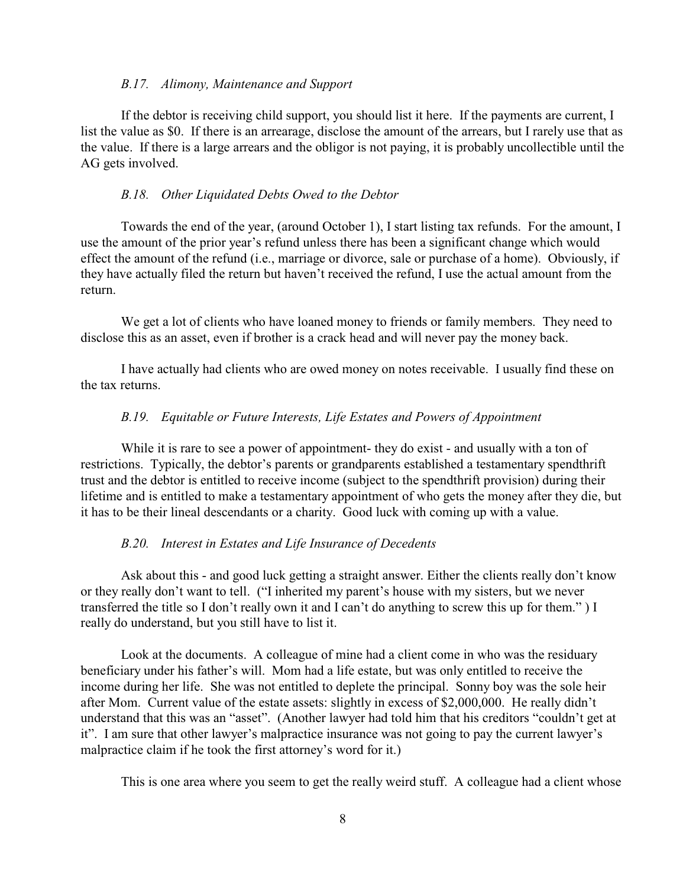#### *B.17. Alimony, Maintenance and Support*

If the debtor is receiving child support, you should list it here. If the payments are current, I list the value as \$0. If there is an arrearage, disclose the amount of the arrears, but I rarely use that as the value. If there is a large arrears and the obligor is not paying, it is probably uncollectible until the AG gets involved.

#### *B.18. Other Liquidated Debts Owed to the Debtor*

Towards the end of the year, (around October 1), I start listing tax refunds. For the amount, I use the amount of the prior year's refund unless there has been a significant change which would effect the amount of the refund (i.e., marriage or divorce, sale or purchase of a home). Obviously, if they have actually filed the return but haven't received the refund, I use the actual amount from the return.

We get a lot of clients who have loaned money to friends or family members. They need to disclose this as an asset, even if brother is a crack head and will never pay the money back.

I have actually had clients who are owed money on notes receivable. I usually find these on the tax returns.

#### *B.19. Equitable or Future Interests, Life Estates and Powers of Appointment*

While it is rare to see a power of appointment- they do exist - and usually with a ton of restrictions. Typically, the debtor's parents or grandparents established a testamentary spendthrift trust and the debtor is entitled to receive income (subject to the spendthrift provision) during their lifetime and is entitled to make a testamentary appointment of who gets the money after they die, but it has to be their lineal descendants or a charity. Good luck with coming up with a value.

#### *B.20. Interest in Estates and Life Insurance of Decedents*

Ask about this - and good luck getting a straight answer. Either the clients really don't know or they really don't want to tell. ("I inherited my parent's house with my sisters, but we never transferred the title so I don't really own it and I can't do anything to screw this up for them." ) I really do understand, but you still have to list it.

Look at the documents. A colleague of mine had a client come in who was the residuary beneficiary under his father's will. Mom had a life estate, but was only entitled to receive the income during her life. She was not entitled to deplete the principal. Sonny boy was the sole heir after Mom. Current value of the estate assets: slightly in excess of \$2,000,000. He really didn't understand that this was an "asset". (Another lawyer had told him that his creditors "couldn't get at it". I am sure that other lawyer's malpractice insurance was not going to pay the current lawyer's malpractice claim if he took the first attorney's word for it.)

This is one area where you seem to get the really weird stuff. A colleague had a client whose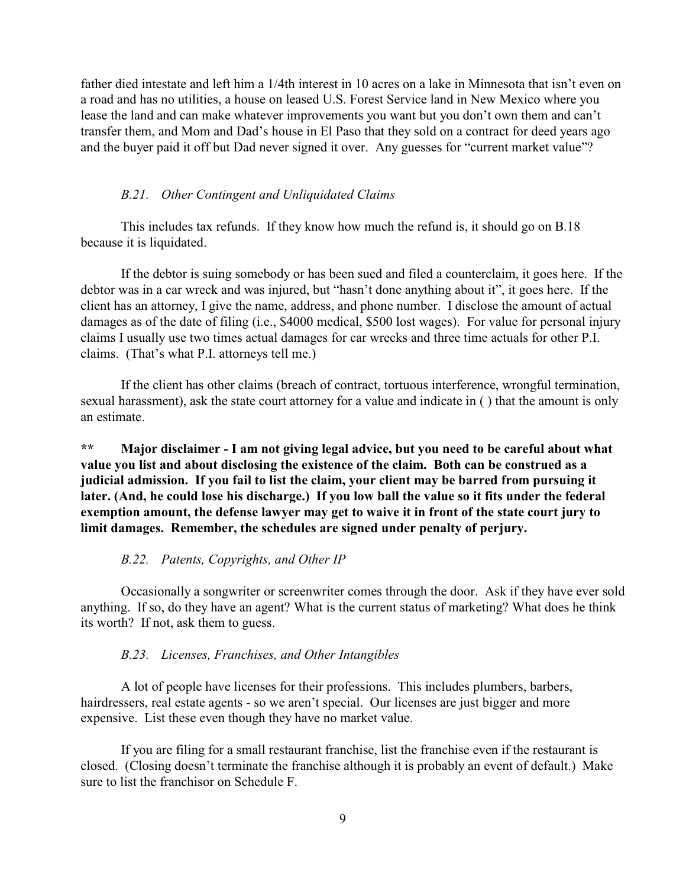father died intestate and left him a 1/4th interest in 10 acres on a lake in Minnesota that isn't even on a road and has no utilities, a house on leased U.S. Forest Service land in New Mexico where you lease the land and can make whatever improvements you want but you don't own them and can't transfer them, and Mom and Dad's house in El Paso that they sold on a contract for deed years ago and the buyer paid it off but Dad never signed it over. Any guesses for "current market value"?

#### *B.21. Other Contingent and Unliquidated Claims*

This includes tax refunds. If they know how much the refund is, it should go on B.18 because it is liquidated.

If the debtor is suing somebody or has been sued and filed a counterclaim, it goes here. If the debtor was in a car wreck and was injured, but "hasn't done anything about it", it goes here. If the client has an attorney, I give the name, address, and phone number. I disclose the amount of actual damages as of the date of filing (i.e., \$4000 medical, \$500 lost wages). For value for personal injury claims I usually use two times actual damages for car wrecks and three time actuals for other P.I. claims. (That's what P.I. attorneys tell me.)

If the client has other claims (breach of contract, tortuous interference, wrongful termination, sexual harassment), ask the state court attorney for a value and indicate in ( ) that the amount is only an estimate.

**\*\* Major disclaimer - I am not giving legal advice, but you need to be careful about what value you list and about disclosing the existence of the claim. Both can be construed as a judicial admission. If you fail to list the claim, your client may be barred from pursuing it later. (And, he could lose his discharge.) If you low ball the value so it fits under the federal exemption amount, the defense lawyer may get to waive it in front of the state court jury to limit damages. Remember, the schedules are signed under penalty of perjury.** 

#### *B.22. Patents, Copyrights, and Other IP*

Occasionally a songwriter or screenwriter comes through the door. Ask if they have ever sold anything. If so, do they have an agent? What is the current status of marketing? What does he think its worth? If not, ask them to guess.

#### *B.23. Licenses, Franchises, and Other Intangibles*

A lot of people have licenses for their professions. This includes plumbers, barbers, hairdressers, real estate agents - so we aren't special. Our licenses are just bigger and more expensive. List these even though they have no market value.

If you are filing for a small restaurant franchise, list the franchise even if the restaurant is closed. (Closing doesn't terminate the franchise although it is probably an event of default.) Make sure to list the franchisor on Schedule F.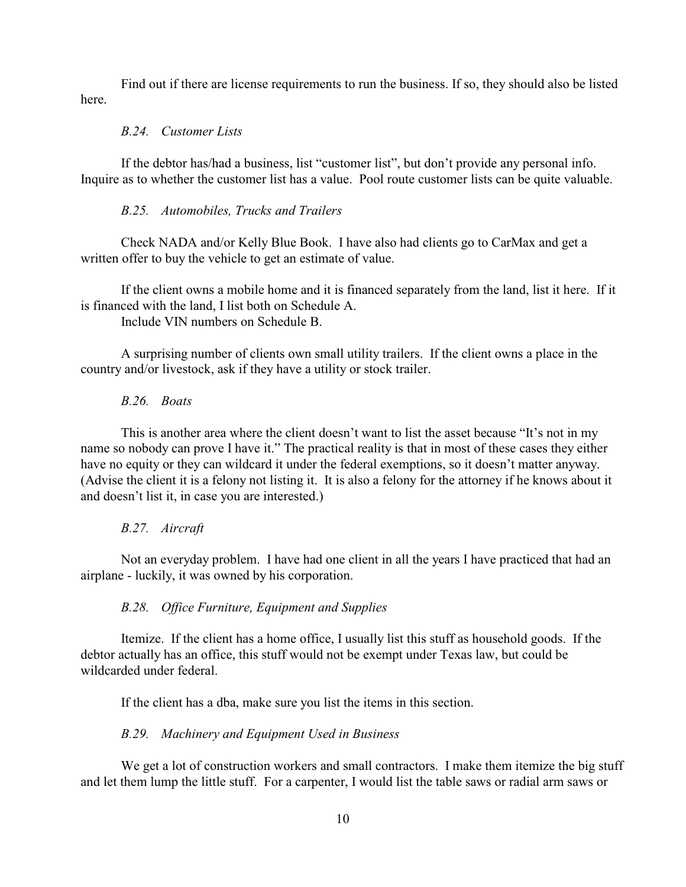Find out if there are license requirements to run the business. If so, they should also be listed here.

#### *B.24. Customer Lists*

If the debtor has/had a business, list "customer list", but don't provide any personal info. Inquire as to whether the customer list has a value. Pool route customer lists can be quite valuable.

### *B.25. Automobiles, Trucks and Trailers*

Check NADA and/or Kelly Blue Book. I have also had clients go to CarMax and get a written offer to buy the vehicle to get an estimate of value.

If the client owns a mobile home and it is financed separately from the land, list it here. If it is financed with the land, I list both on Schedule A.

Include VIN numbers on Schedule B.

A surprising number of clients own small utility trailers. If the client owns a place in the country and/or livestock, ask if they have a utility or stock trailer.

# *B.26. Boats*

This is another area where the client doesn't want to list the asset because "It's not in my name so nobody can prove I have it." The practical reality is that in most of these cases they either have no equity or they can wildcard it under the federal exemptions, so it doesn't matter anyway. (Advise the client it is a felony not listing it. It is also a felony for the attorney if he knows about it and doesn't list it, in case you are interested.)

#### *B.27. Aircraft*

Not an everyday problem. I have had one client in all the years I have practiced that had an airplane - luckily, it was owned by his corporation.

# *B.28. Office Furniture, Equipment and Supplies*

Itemize. If the client has a home office, I usually list this stuff as household goods. If the debtor actually has an office, this stuff would not be exempt under Texas law, but could be wildcarded under federal.

If the client has a dba, make sure you list the items in this section.

#### *B.29. Machinery and Equipment Used in Business*

We get a lot of construction workers and small contractors. I make them itemize the big stuff and let them lump the little stuff. For a carpenter, I would list the table saws or radial arm saws or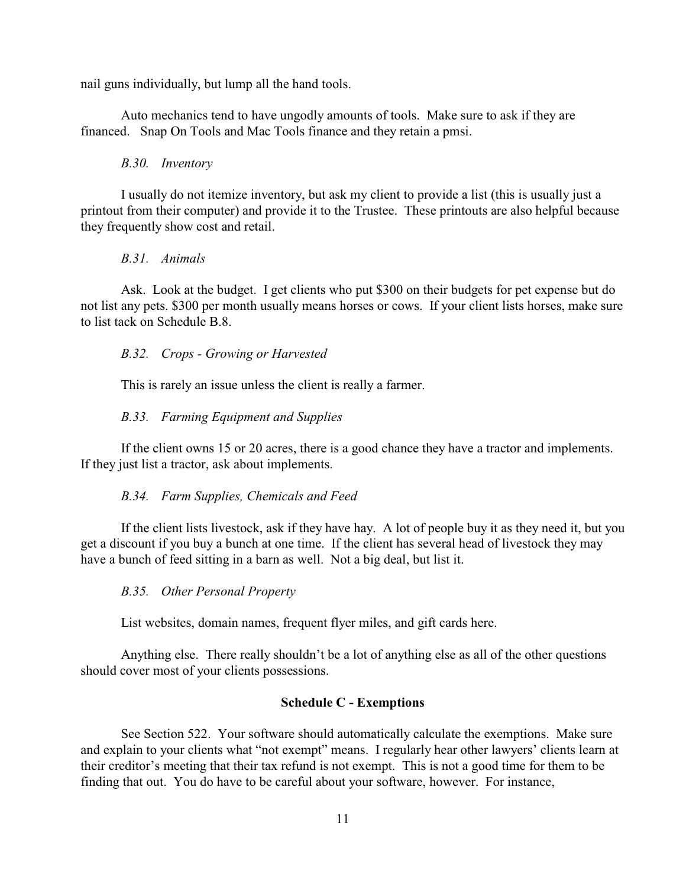nail guns individually, but lump all the hand tools.

Auto mechanics tend to have ungodly amounts of tools. Make sure to ask if they are financed. Snap On Tools and Mac Tools finance and they retain a pmsi.

#### *B.30. Inventory*

I usually do not itemize inventory, but ask my client to provide a list (this is usually just a printout from their computer) and provide it to the Trustee. These printouts are also helpful because they frequently show cost and retail.

#### *B.31. Animals*

Ask. Look at the budget. I get clients who put \$300 on their budgets for pet expense but do not list any pets. \$300 per month usually means horses or cows. If your client lists horses, make sure to list tack on Schedule B.8.

#### *B.32. Crops - Growing or Harvested*

This is rarely an issue unless the client is really a farmer.

#### *B.33. Farming Equipment and Supplies*

If the client owns 15 or 20 acres, there is a good chance they have a tractor and implements. If they just list a tractor, ask about implements.

#### *B.34. Farm Supplies, Chemicals and Feed*

If the client lists livestock, ask if they have hay. A lot of people buy it as they need it, but you get a discount if you buy a bunch at one time. If the client has several head of livestock they may have a bunch of feed sitting in a barn as well. Not a big deal, but list it.

#### *B.35. Other Personal Property*

List websites, domain names, frequent flyer miles, and gift cards here.

Anything else. There really shouldn't be a lot of anything else as all of the other questions should cover most of your clients possessions.

#### **Schedule C - Exemptions**

See Section 522. Your software should automatically calculate the exemptions. Make sure and explain to your clients what "not exempt" means. I regularly hear other lawyers' clients learn at their creditor's meeting that their tax refund is not exempt. This is not a good time for them to be finding that out. You do have to be careful about your software, however. For instance,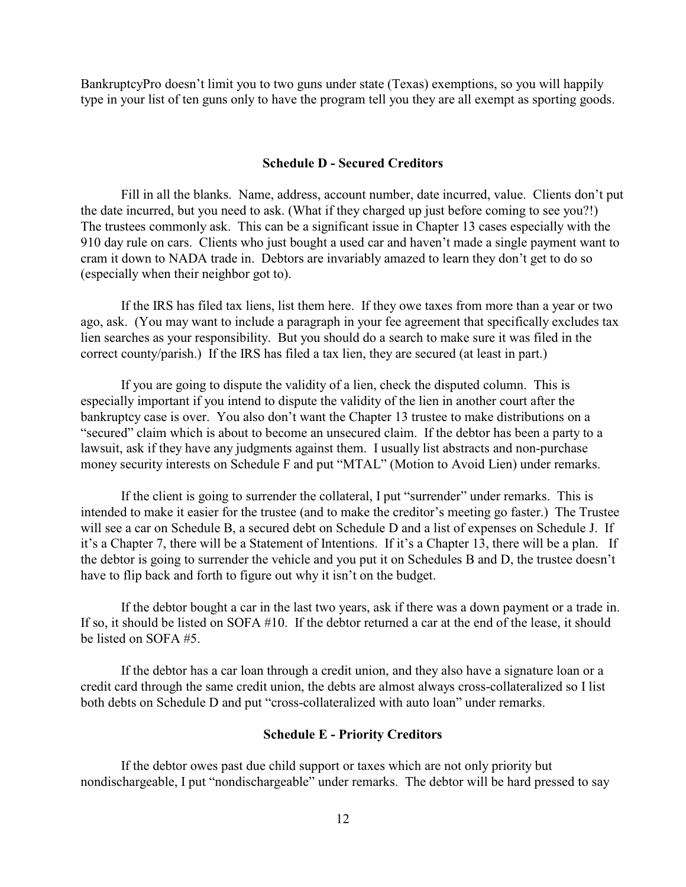BankruptcyPro doesn't limit you to two guns under state (Texas) exemptions, so you will happily type in your list of ten guns only to have the program tell you they are all exempt as sporting goods.

#### **Schedule D - Secured Creditors**

Fill in all the blanks. Name, address, account number, date incurred, value. Clients don't put the date incurred, but you need to ask. (What if they charged up just before coming to see you?!) The trustees commonly ask. This can be a significant issue in Chapter 13 cases especially with the 910 day rule on cars. Clients who just bought a used car and haven't made a single payment want to cram it down to NADA trade in. Debtors are invariably amazed to learn they don't get to do so (especially when their neighbor got to).

If the IRS has filed tax liens, list them here. If they owe taxes from more than a year or two ago, ask. (You may want to include a paragraph in your fee agreement that specifically excludes tax lien searches as your responsibility. But you should do a search to make sure it was filed in the correct county/parish.) If the IRS has filed a tax lien, they are secured (at least in part.)

If you are going to dispute the validity of a lien, check the disputed column. This is especially important if you intend to dispute the validity of the lien in another court after the bankruptcy case is over. You also don't want the Chapter 13 trustee to make distributions on a "secured" claim which is about to become an unsecured claim. If the debtor has been a party to a lawsuit, ask if they have any judgments against them. I usually list abstracts and non-purchase money security interests on Schedule F and put "MTAL" (Motion to Avoid Lien) under remarks.

If the client is going to surrender the collateral, I put "surrender" under remarks. This is intended to make it easier for the trustee (and to make the creditor's meeting go faster.) The Trustee will see a car on Schedule B, a secured debt on Schedule D and a list of expenses on Schedule J. If it's a Chapter 7, there will be a Statement of Intentions. If it's a Chapter 13, there will be a plan. If the debtor is going to surrender the vehicle and you put it on Schedules B and D, the trustee doesn't have to flip back and forth to figure out why it isn't on the budget.

If the debtor bought a car in the last two years, ask if there was a down payment or a trade in. If so, it should be listed on SOFA #10. If the debtor returned a car at the end of the lease, it should be listed on SOFA #5.

If the debtor has a car loan through a credit union, and they also have a signature loan or a credit card through the same credit union, the debts are almost always cross-collateralized so I list both debts on Schedule D and put "cross-collateralized with auto loan" under remarks.

#### **Schedule E - Priority Creditors**

If the debtor owes past due child support or taxes which are not only priority but nondischargeable, I put "nondischargeable" under remarks. The debtor will be hard pressed to say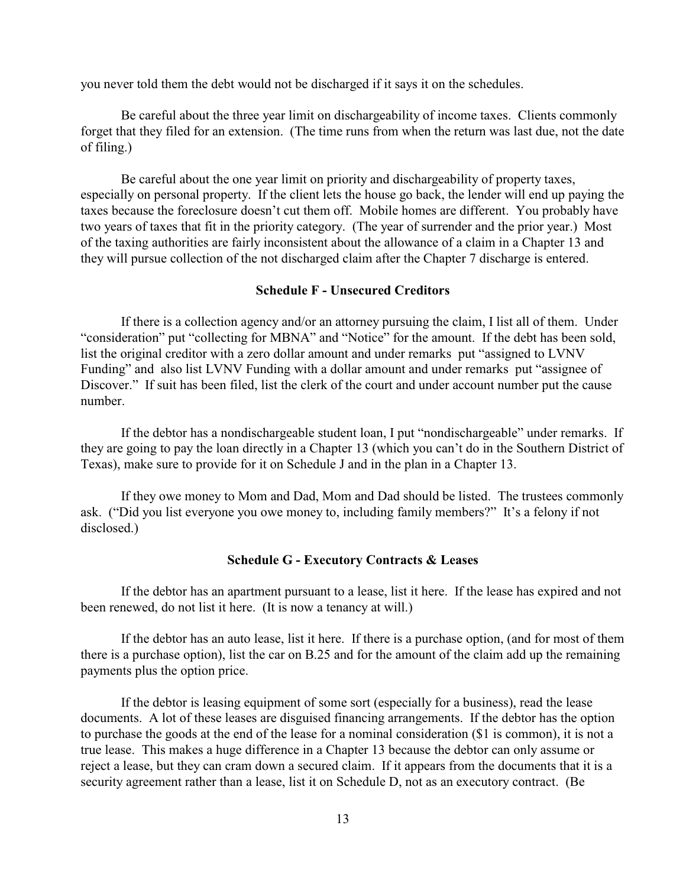you never told them the debt would not be discharged if it says it on the schedules.

Be careful about the three year limit on dischargeability of income taxes. Clients commonly forget that they filed for an extension. (The time runs from when the return was last due, not the date of filing.)

Be careful about the one year limit on priority and dischargeability of property taxes, especially on personal property. If the client lets the house go back, the lender will end up paying the taxes because the foreclosure doesn't cut them off. Mobile homes are different. You probably have two years of taxes that fit in the priority category. (The year of surrender and the prior year.) Most of the taxing authorities are fairly inconsistent about the allowance of a claim in a Chapter 13 and they will pursue collection of the not discharged claim after the Chapter 7 discharge is entered.

#### **Schedule F - Unsecured Creditors**

If there is a collection agency and/or an attorney pursuing the claim, I list all of them. Under "consideration" put "collecting for MBNA" and "Notice" for the amount. If the debt has been sold, list the original creditor with a zero dollar amount and under remarks put "assigned to LVNV Funding" and also list LVNV Funding with a dollar amount and under remarks put "assignee of Discover." If suit has been filed, list the clerk of the court and under account number put the cause number.

If the debtor has a nondischargeable student loan, I put "nondischargeable" under remarks. If they are going to pay the loan directly in a Chapter 13 (which you can't do in the Southern District of Texas), make sure to provide for it on Schedule J and in the plan in a Chapter 13.

If they owe money to Mom and Dad, Mom and Dad should be listed. The trustees commonly ask. ("Did you list everyone you owe money to, including family members?" It's a felony if not disclosed.)

#### **Schedule G - Executory Contracts & Leases**

If the debtor has an apartment pursuant to a lease, list it here. If the lease has expired and not been renewed, do not list it here. (It is now a tenancy at will.)

If the debtor has an auto lease, list it here. If there is a purchase option, (and for most of them there is a purchase option), list the car on B.25 and for the amount of the claim add up the remaining payments plus the option price.

If the debtor is leasing equipment of some sort (especially for a business), read the lease documents. A lot of these leases are disguised financing arrangements. If the debtor has the option to purchase the goods at the end of the lease for a nominal consideration (\$1 is common), it is not a true lease. This makes a huge difference in a Chapter 13 because the debtor can only assume or reject a lease, but they can cram down a secured claim. If it appears from the documents that it is a security agreement rather than a lease, list it on Schedule D, not as an executory contract. (Be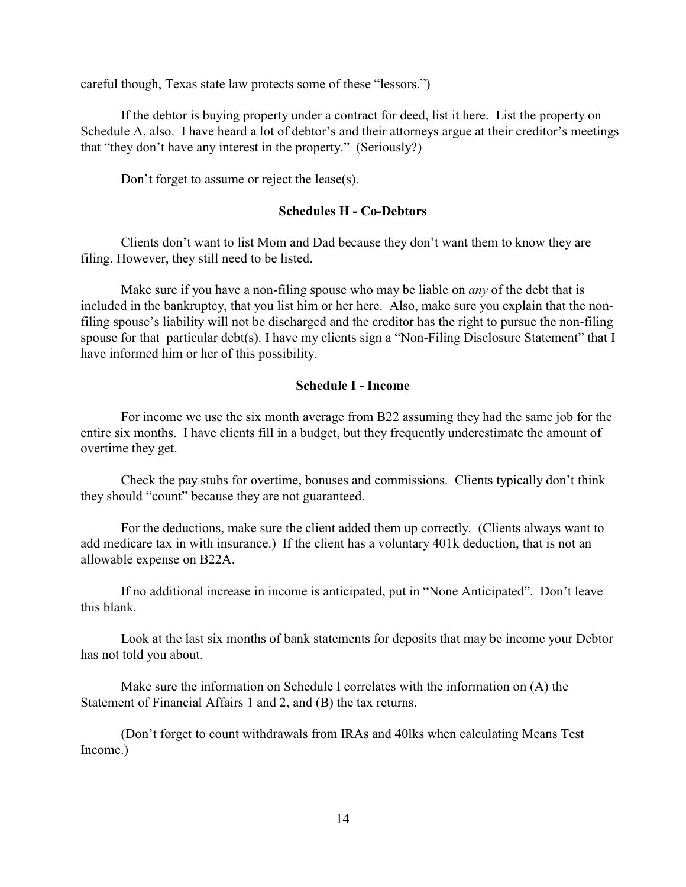careful though, Texas state law protects some of these "lessors.")

If the debtor is buying property under a contract for deed, list it here. List the property on Schedule A, also. I have heard a lot of debtor's and their attorneys argue at their creditor's meetings that "they don't have any interest in the property." (Seriously?)

Don't forget to assume or reject the lease(s).

#### **Schedules H - Co-Debtors**

Clients don't want to list Mom and Dad because they don't want them to know they are filing. However, they still need to be listed.

Make sure if you have a non-filing spouse who may be liable on *any* of the debt that is included in the bankruptcy, that you list him or her here. Also, make sure you explain that the nonfiling spouse's liability will not be discharged and the creditor has the right to pursue the non-filing spouse for that particular debt(s). I have my clients sign a "Non-Filing Disclosure Statement" that I have informed him or her of this possibility.

#### **Schedule I - Income**

For income we use the six month average from B22 assuming they had the same job for the entire six months. I have clients fill in a budget, but they frequently underestimate the amount of overtime they get.

Check the pay stubs for overtime, bonuses and commissions. Clients typically don't think they should "count" because they are not guaranteed.

For the deductions, make sure the client added them up correctly. (Clients always want to add medicare tax in with insurance.) If the client has a voluntary 401k deduction, that is not an allowable expense on B22A.

If no additional increase in income is anticipated, put in "None Anticipated". Don't leave this blank.

Look at the last six months of bank statements for deposits that may be income your Debtor has not told you about.

Make sure the information on Schedule I correlates with the information on (A) the Statement of Financial Affairs 1 and 2, and (B) the tax returns.

(Don't forget to count withdrawals from IRAs and 40lks when calculating Means Test Income.)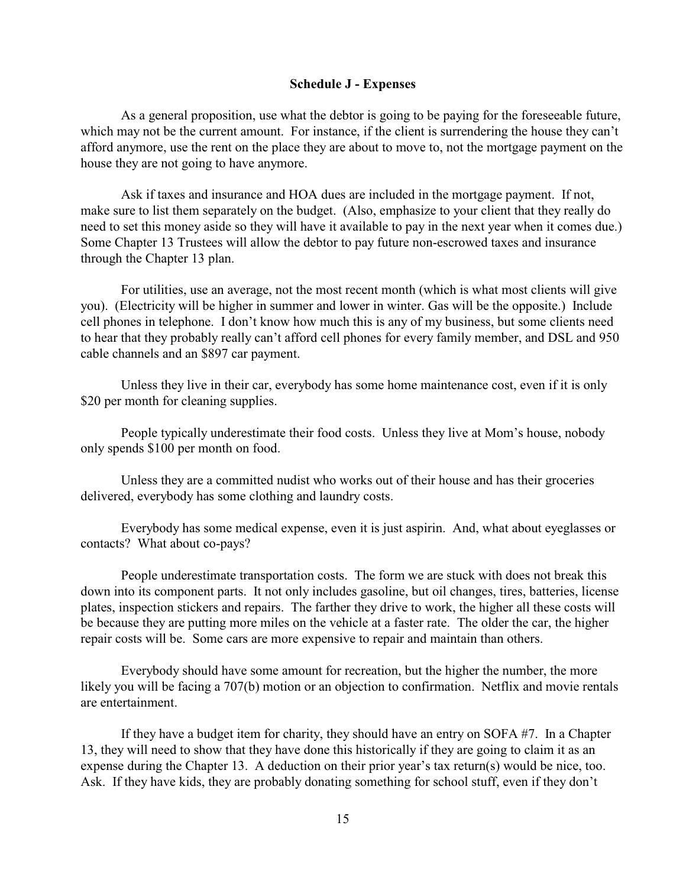#### **Schedule J - Expenses**

As a general proposition, use what the debtor is going to be paying for the foreseeable future, which may not be the current amount. For instance, if the client is surrendering the house they can't afford anymore, use the rent on the place they are about to move to, not the mortgage payment on the house they are not going to have anymore.

Ask if taxes and insurance and HOA dues are included in the mortgage payment. If not, make sure to list them separately on the budget. (Also, emphasize to your client that they really do need to set this money aside so they will have it available to pay in the next year when it comes due.) Some Chapter 13 Trustees will allow the debtor to pay future non-escrowed taxes and insurance through the Chapter 13 plan.

For utilities, use an average, not the most recent month (which is what most clients will give you). (Electricity will be higher in summer and lower in winter. Gas will be the opposite.) Include cell phones in telephone. I don't know how much this is any of my business, but some clients need to hear that they probably really can't afford cell phones for every family member, and DSL and 950 cable channels and an \$897 car payment.

Unless they live in their car, everybody has some home maintenance cost, even if it is only \$20 per month for cleaning supplies.

People typically underestimate their food costs. Unless they live at Mom's house, nobody only spends \$100 per month on food.

Unless they are a committed nudist who works out of their house and has their groceries delivered, everybody has some clothing and laundry costs.

Everybody has some medical expense, even it is just aspirin. And, what about eyeglasses or contacts? What about co-pays?

People underestimate transportation costs. The form we are stuck with does not break this down into its component parts. It not only includes gasoline, but oil changes, tires, batteries, license plates, inspection stickers and repairs. The farther they drive to work, the higher all these costs will be because they are putting more miles on the vehicle at a faster rate. The older the car, the higher repair costs will be. Some cars are more expensive to repair and maintain than others.

Everybody should have some amount for recreation, but the higher the number, the more likely you will be facing a 707(b) motion or an objection to confirmation. Netflix and movie rentals are entertainment.

If they have a budget item for charity, they should have an entry on SOFA #7. In a Chapter 13, they will need to show that they have done this historically if they are going to claim it as an expense during the Chapter 13. A deduction on their prior year's tax return(s) would be nice, too. Ask. If they have kids, they are probably donating something for school stuff, even if they don't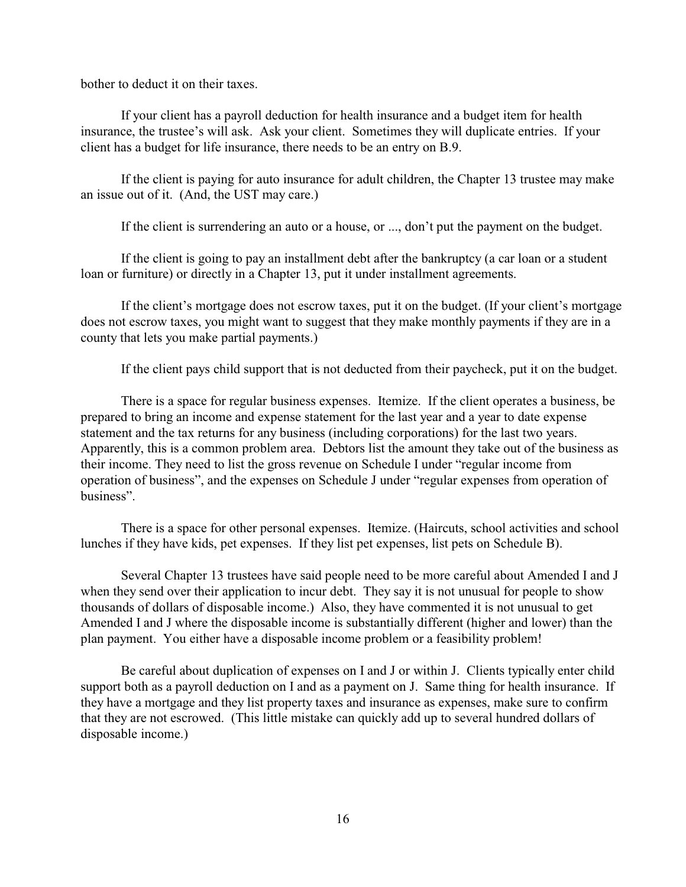bother to deduct it on their taxes.

If your client has a payroll deduction for health insurance and a budget item for health insurance, the trustee's will ask. Ask your client. Sometimes they will duplicate entries. If your client has a budget for life insurance, there needs to be an entry on B.9.

If the client is paying for auto insurance for adult children, the Chapter 13 trustee may make an issue out of it. (And, the UST may care.)

If the client is surrendering an auto or a house, or ..., don't put the payment on the budget.

If the client is going to pay an installment debt after the bankruptcy (a car loan or a student loan or furniture) or directly in a Chapter 13, put it under installment agreements.

If the client's mortgage does not escrow taxes, put it on the budget. (If your client's mortgage does not escrow taxes, you might want to suggest that they make monthly payments if they are in a county that lets you make partial payments.)

If the client pays child support that is not deducted from their paycheck, put it on the budget.

There is a space for regular business expenses. Itemize. If the client operates a business, be prepared to bring an income and expense statement for the last year and a year to date expense statement and the tax returns for any business (including corporations) for the last two years. Apparently, this is a common problem area. Debtors list the amount they take out of the business as their income. They need to list the gross revenue on Schedule I under "regular income from operation of business", and the expenses on Schedule J under "regular expenses from operation of business".

There is a space for other personal expenses. Itemize. (Haircuts, school activities and school lunches if they have kids, pet expenses. If they list pet expenses, list pets on Schedule B).

Several Chapter 13 trustees have said people need to be more careful about Amended I and J when they send over their application to incur debt. They say it is not unusual for people to show thousands of dollars of disposable income.) Also, they have commented it is not unusual to get Amended I and J where the disposable income is substantially different (higher and lower) than the plan payment. You either have a disposable income problem or a feasibility problem!

Be careful about duplication of expenses on I and J or within J. Clients typically enter child support both as a payroll deduction on I and as a payment on J. Same thing for health insurance. If they have a mortgage and they list property taxes and insurance as expenses, make sure to confirm that they are not escrowed. (This little mistake can quickly add up to several hundred dollars of disposable income.)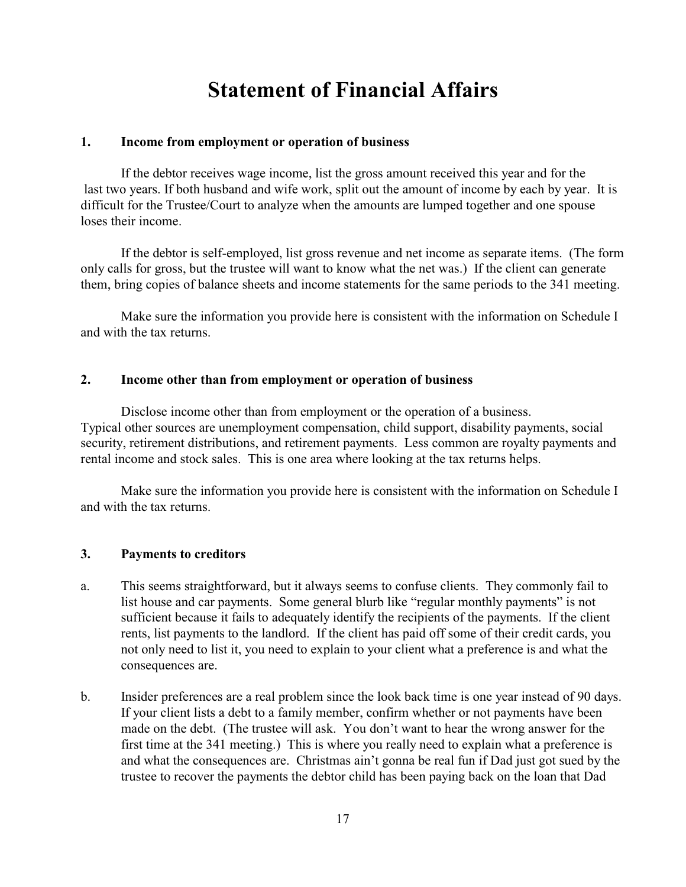# **Statement of Financial Affairs**

### **1. Income from employment or operation of business**

If the debtor receives wage income, list the gross amount received this year and for the last two years. If both husband and wife work, split out the amount of income by each by year. It is difficult for the Trustee/Court to analyze when the amounts are lumped together and one spouse loses their income.

If the debtor is self-employed, list gross revenue and net income as separate items. (The form only calls for gross, but the trustee will want to know what the net was.) If the client can generate them, bring copies of balance sheets and income statements for the same periods to the 341 meeting.

Make sure the information you provide here is consistent with the information on Schedule I and with the tax returns.

### **2. Income other than from employment or operation of business**

Disclose income other than from employment or the operation of a business. Typical other sources are unemployment compensation, child support, disability payments, social security, retirement distributions, and retirement payments. Less common are royalty payments and rental income and stock sales. This is one area where looking at the tax returns helps.

Make sure the information you provide here is consistent with the information on Schedule I and with the tax returns.

# **3. Payments to creditors**

- a. This seems straightforward, but it always seems to confuse clients. They commonly fail to list house and car payments. Some general blurb like "regular monthly payments" is not sufficient because it fails to adequately identify the recipients of the payments. If the client rents, list payments to the landlord. If the client has paid off some of their credit cards, you not only need to list it, you need to explain to your client what a preference is and what the consequences are.
- b. Insider preferences are a real problem since the look back time is one year instead of 90 days. If your client lists a debt to a family member, confirm whether or not payments have been made on the debt. (The trustee will ask. You don't want to hear the wrong answer for the first time at the 341 meeting.) This is where you really need to explain what a preference is and what the consequences are. Christmas ain't gonna be real fun if Dad just got sued by the trustee to recover the payments the debtor child has been paying back on the loan that Dad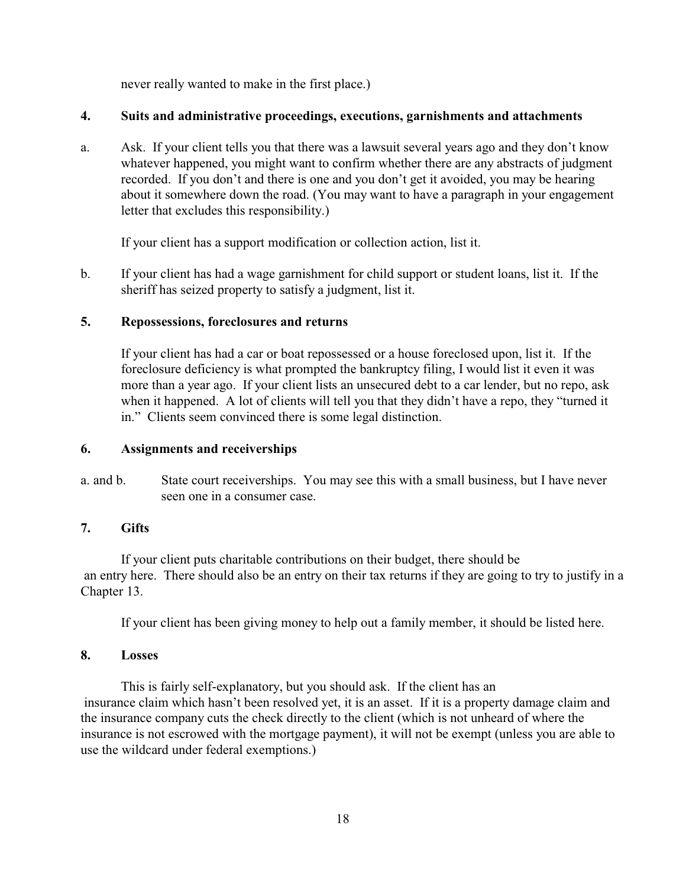never really wanted to make in the first place.)

# **4. Suits and administrative proceedings, executions, garnishments and attachments**

a. Ask. If your client tells you that there was a lawsuit several years ago and they don't know whatever happened, you might want to confirm whether there are any abstracts of judgment recorded. If you don't and there is one and you don't get it avoided, you may be hearing about it somewhere down the road. (You may want to have a paragraph in your engagement letter that excludes this responsibility.)

If your client has a support modification or collection action, list it.

b. If your client has had a wage garnishment for child support or student loans, list it. If the sheriff has seized property to satisfy a judgment, list it.

# **5. Repossessions, foreclosures and returns**

If your client has had a car or boat repossessed or a house foreclosed upon, list it. If the foreclosure deficiency is what prompted the bankruptcy filing, I would list it even it was more than a year ago. If your client lists an unsecured debt to a car lender, but no repo, ask when it happened. A lot of clients will tell you that they didn't have a repo, they "turned it in." Clients seem convinced there is some legal distinction.

# **6. Assignments and receiverships**

a. and b. State court receiverships. You may see this with a small business, but I have never seen one in a consumer case.

# **7. Gifts**

If your client puts charitable contributions on their budget, there should be an entry here. There should also be an entry on their tax returns if they are going to try to justify in a Chapter 13.

If your client has been giving money to help out a family member, it should be listed here.

# **8. Losses**

This is fairly self-explanatory, but you should ask. If the client has an insurance claim which hasn't been resolved yet, it is an asset. If it is a property damage claim and the insurance company cuts the check directly to the client (which is not unheard of where the insurance is not escrowed with the mortgage payment), it will not be exempt (unless you are able to use the wildcard under federal exemptions.)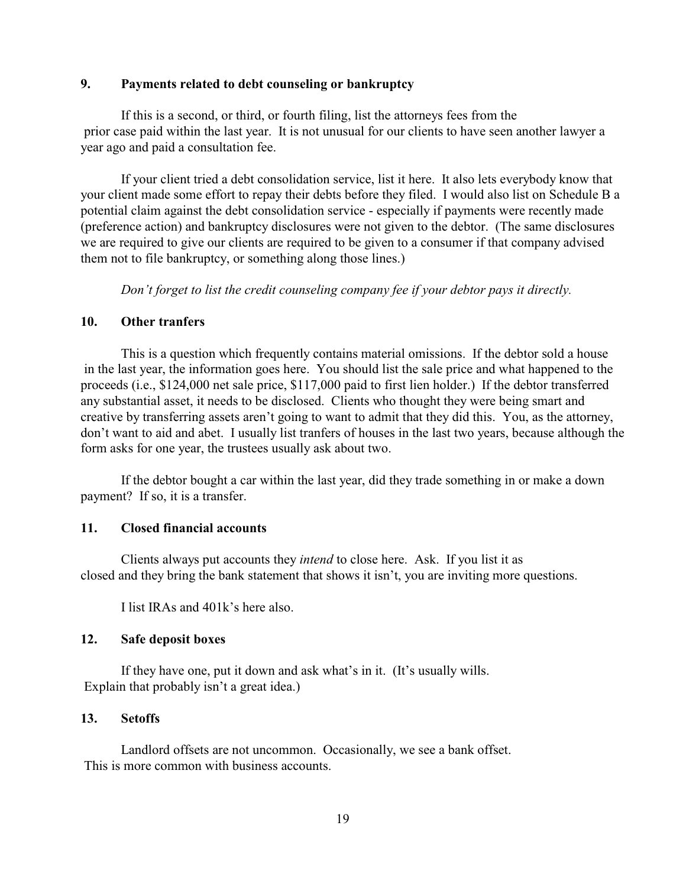### **9. Payments related to debt counseling or bankruptcy**

If this is a second, or third, or fourth filing, list the attorneys fees from the prior case paid within the last year. It is not unusual for our clients to have seen another lawyer a year ago and paid a consultation fee.

If your client tried a debt consolidation service, list it here. It also lets everybody know that your client made some effort to repay their debts before they filed. I would also list on Schedule B a potential claim against the debt consolidation service - especially if payments were recently made (preference action) and bankruptcy disclosures were not given to the debtor. (The same disclosures we are required to give our clients are required to be given to a consumer if that company advised them not to file bankruptcy, or something along those lines.)

*Don't forget to list the credit counseling company fee if your debtor pays it directly.*

### **10. Other tranfers**

This is a question which frequently contains material omissions. If the debtor sold a house in the last year, the information goes here. You should list the sale price and what happened to the proceeds (i.e., \$124,000 net sale price, \$117,000 paid to first lien holder.) If the debtor transferred any substantial asset, it needs to be disclosed. Clients who thought they were being smart and creative by transferring assets aren't going to want to admit that they did this. You, as the attorney, don't want to aid and abet. I usually list tranfers of houses in the last two years, because although the form asks for one year, the trustees usually ask about two.

If the debtor bought a car within the last year, did they trade something in or make a down payment? If so, it is a transfer.

#### **11. Closed financial accounts**

Clients always put accounts they *intend* to close here. Ask. If you list it as closed and they bring the bank statement that shows it isn't, you are inviting more questions.

I list IRAs and 401k's here also.

#### **12. Safe deposit boxes**

If they have one, put it down and ask what's in it. (It's usually wills. Explain that probably isn't a great idea.)

# **13. Setoffs**

Landlord offsets are not uncommon. Occasionally, we see a bank offset. This is more common with business accounts.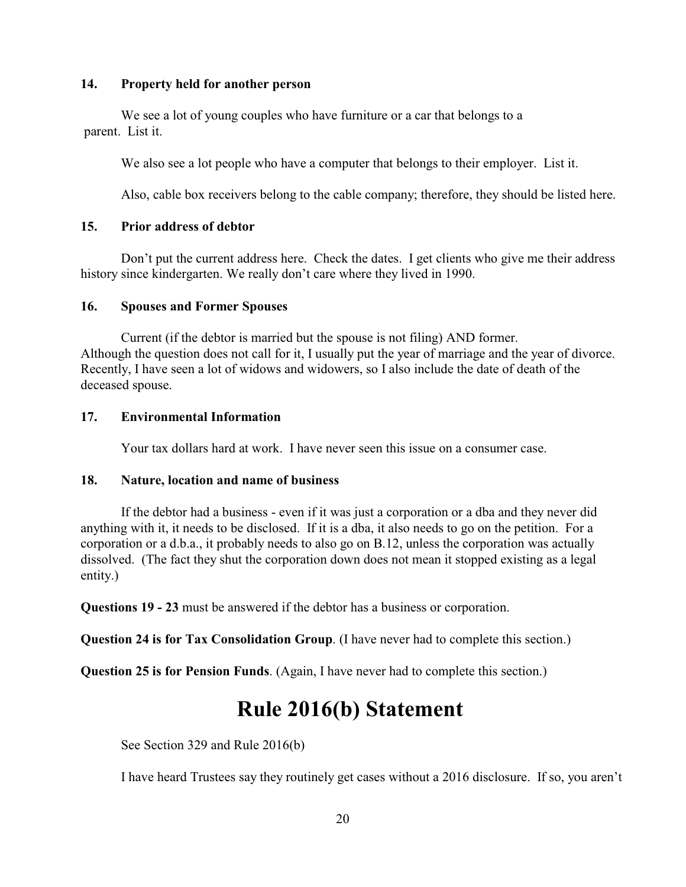### **14. Property held for another person**

We see a lot of young couples who have furniture or a car that belongs to a parent. List it.

We also see a lot people who have a computer that belongs to their employer. List it.

Also, cable box receivers belong to the cable company; therefore, they should be listed here.

# **15. Prior address of debtor**

Don't put the current address here. Check the dates. I get clients who give me their address history since kindergarten. We really don't care where they lived in 1990.

# **16. Spouses and Former Spouses**

Current (if the debtor is married but the spouse is not filing) AND former. Although the question does not call for it, I usually put the year of marriage and the year of divorce. Recently, I have seen a lot of widows and widowers, so I also include the date of death of the deceased spouse.

# **17. Environmental Information**

Your tax dollars hard at work. I have never seen this issue on a consumer case.

# **18. Nature, location and name of business**

If the debtor had a business - even if it was just a corporation or a dba and they never did anything with it, it needs to be disclosed. If it is a dba, it also needs to go on the petition. For a corporation or a d.b.a., it probably needs to also go on B.12, unless the corporation was actually dissolved. (The fact they shut the corporation down does not mean it stopped existing as a legal entity.)

**Questions 19 - 23** must be answered if the debtor has a business or corporation.

**Question 24 is for Tax Consolidation Group**. (I have never had to complete this section.)

**Question 25 is for Pension Funds**. (Again, I have never had to complete this section.)

# **Rule 2016(b) Statement**

See Section 329 and Rule 2016(b)

I have heard Trustees say they routinely get cases without a 2016 disclosure. If so, you aren't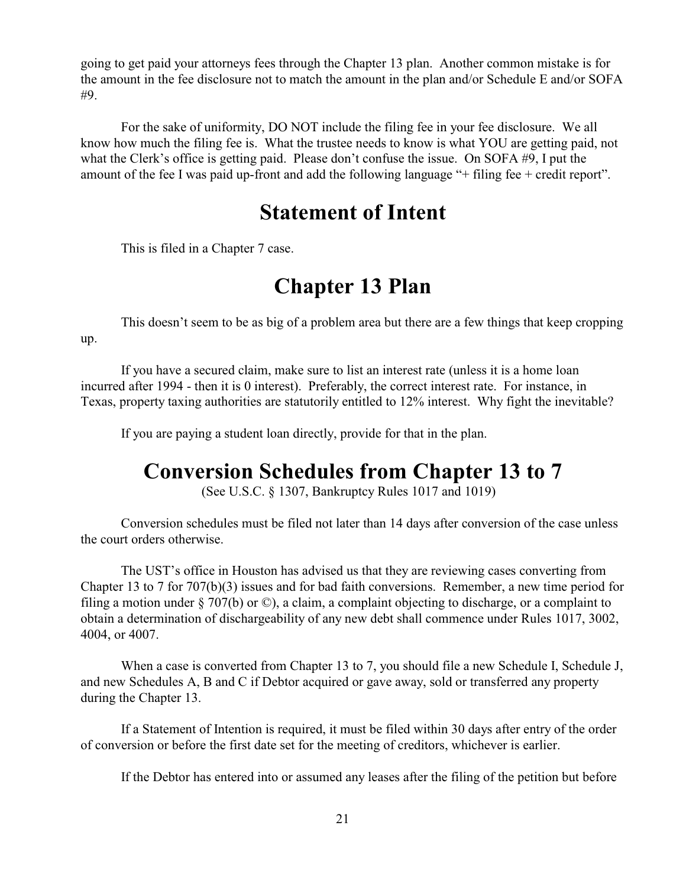going to get paid your attorneys fees through the Chapter 13 plan. Another common mistake is for the amount in the fee disclosure not to match the amount in the plan and/or Schedule E and/or SOFA #9.

For the sake of uniformity, DO NOT include the filing fee in your fee disclosure. We all know how much the filing fee is. What the trustee needs to know is what YOU are getting paid, not what the Clerk's office is getting paid. Please don't confuse the issue. On SOFA #9, I put the amount of the fee I was paid up-front and add the following language "+ filing fee + credit report".

# **Statement of Intent**

This is filed in a Chapter 7 case.

# **Chapter 13 Plan**

This doesn't seem to be as big of a problem area but there are a few things that keep cropping up.

If you have a secured claim, make sure to list an interest rate (unless it is a home loan incurred after 1994 - then it is 0 interest). Preferably, the correct interest rate. For instance, in Texas, property taxing authorities are statutorily entitled to 12% interest. Why fight the inevitable?

If you are paying a student loan directly, provide for that in the plan.

# **Conversion Schedules from Chapter 13 to 7**

(See U.S.C. § 1307, Bankruptcy Rules 1017 and 1019)

Conversion schedules must be filed not later than 14 days after conversion of the case unless the court orders otherwise.

The UST's office in Houston has advised us that they are reviewing cases converting from Chapter 13 to 7 for 707(b)(3) issues and for bad faith conversions. Remember, a new time period for filing a motion under § 707(b) or ©), a claim, a complaint objecting to discharge, or a complaint to obtain a determination of dischargeability of any new debt shall commence under Rules 1017, 3002, 4004, or 4007.

When a case is converted from Chapter 13 to 7, you should file a new Schedule I, Schedule J, and new Schedules A, B and C if Debtor acquired or gave away, sold or transferred any property during the Chapter 13.

If a Statement of Intention is required, it must be filed within 30 days after entry of the order of conversion or before the first date set for the meeting of creditors, whichever is earlier.

If the Debtor has entered into or assumed any leases after the filing of the petition but before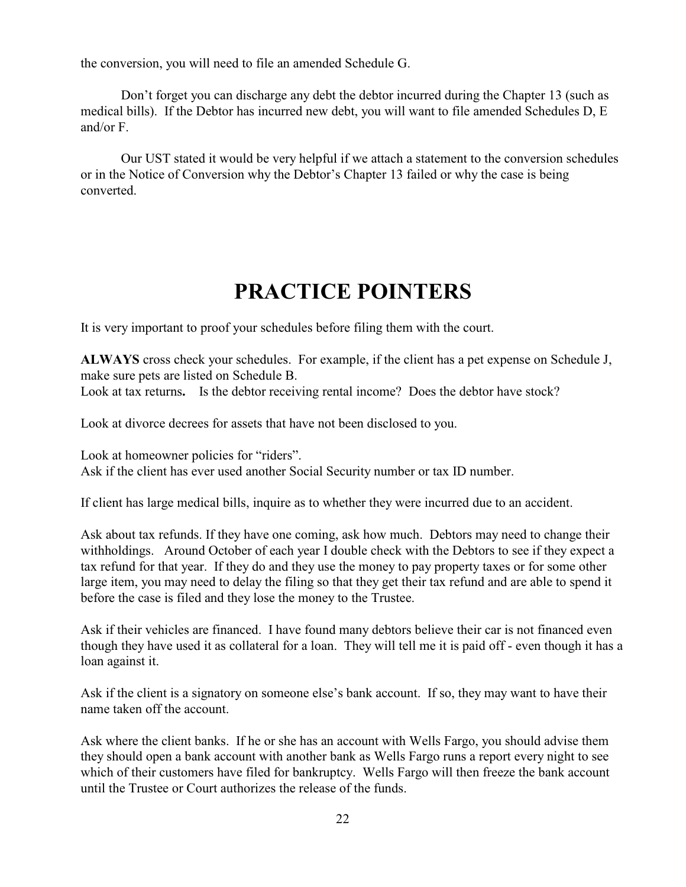the conversion, you will need to file an amended Schedule G.

Don't forget you can discharge any debt the debtor incurred during the Chapter 13 (such as medical bills). If the Debtor has incurred new debt, you will want to file amended Schedules D, E and/or F.

Our UST stated it would be very helpful if we attach a statement to the conversion schedules or in the Notice of Conversion why the Debtor's Chapter 13 failed or why the case is being converted.

# **PRACTICE POINTERS**

It is very important to proof your schedules before filing them with the court.

**ALWAYS** cross check your schedules. For example, if the client has a pet expense on Schedule J, make sure pets are listed on Schedule B.

Look at tax returns. Is the debtor receiving rental income? Does the debtor have stock?

Look at divorce decrees for assets that have not been disclosed to you.

Look at homeowner policies for "riders". Ask if the client has ever used another Social Security number or tax ID number.

If client has large medical bills, inquire as to whether they were incurred due to an accident.

Ask about tax refunds. If they have one coming, ask how much. Debtors may need to change their withholdings. Around October of each year I double check with the Debtors to see if they expect a tax refund for that year. If they do and they use the money to pay property taxes or for some other large item, you may need to delay the filing so that they get their tax refund and are able to spend it before the case is filed and they lose the money to the Trustee.

Ask if their vehicles are financed. I have found many debtors believe their car is not financed even though they have used it as collateral for a loan. They will tell me it is paid off - even though it has a loan against it.

Ask if the client is a signatory on someone else's bank account. If so, they may want to have their name taken off the account.

Ask where the client banks. If he or she has an account with Wells Fargo, you should advise them they should open a bank account with another bank as Wells Fargo runs a report every night to see which of their customers have filed for bankruptcy. Wells Fargo will then freeze the bank account until the Trustee or Court authorizes the release of the funds.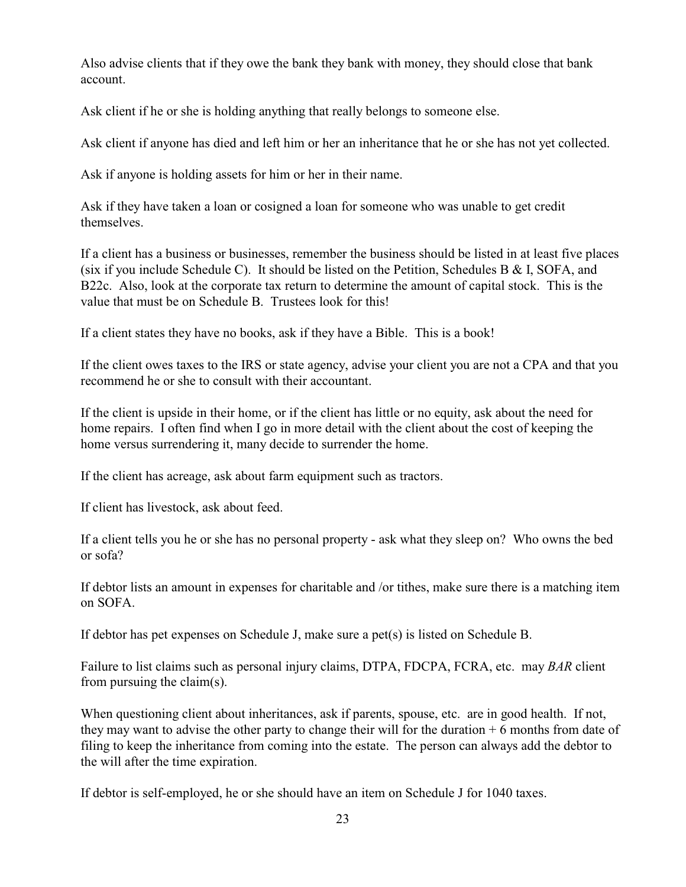Also advise clients that if they owe the bank they bank with money, they should close that bank account.

Ask client if he or she is holding anything that really belongs to someone else.

Ask client if anyone has died and left him or her an inheritance that he or she has not yet collected.

Ask if anyone is holding assets for him or her in their name.

Ask if they have taken a loan or cosigned a loan for someone who was unable to get credit themselves.

If a client has a business or businesses, remember the business should be listed in at least five places (six if you include Schedule C). It should be listed on the Petition, Schedules B & I, SOFA, and B22c. Also, look at the corporate tax return to determine the amount of capital stock. This is the value that must be on Schedule B. Trustees look for this!

If a client states they have no books, ask if they have a Bible. This is a book!

If the client owes taxes to the IRS or state agency, advise your client you are not a CPA and that you recommend he or she to consult with their accountant.

If the client is upside in their home, or if the client has little or no equity, ask about the need for home repairs. I often find when I go in more detail with the client about the cost of keeping the home versus surrendering it, many decide to surrender the home.

If the client has acreage, ask about farm equipment such as tractors.

If client has livestock, ask about feed.

If a client tells you he or she has no personal property - ask what they sleep on? Who owns the bed or sofa?

If debtor lists an amount in expenses for charitable and /or tithes, make sure there is a matching item on SOFA.

If debtor has pet expenses on Schedule J, make sure a pet(s) is listed on Schedule B.

Failure to list claims such as personal injury claims, DTPA, FDCPA, FCRA, etc. may *BAR* client from pursuing the claim(s).

When questioning client about inheritances, ask if parents, spouse, etc. are in good health. If not, they may want to advise the other party to change their will for the duration  $+ 6$  months from date of filing to keep the inheritance from coming into the estate. The person can always add the debtor to the will after the time expiration.

If debtor is self-employed, he or she should have an item on Schedule J for 1040 taxes.